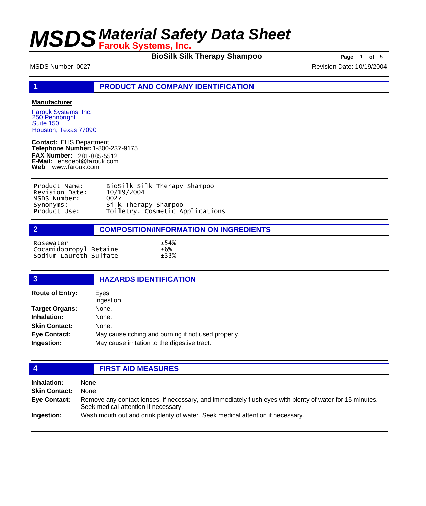**BioSilk Silk Therapy Shampoo** Page 1 of 5

MSDS Number: 0027 **Revision Date: 10/19/2004** 

**1 PRODUCT AND COMPANY IDENTIFICATION**

#### **Manufacturer**

Farouk Systems, Inc. 250 Pennbright Suite 150 Houston, Texas 77090

**Contact:** EHS Department **Telephone Number:** 1-800-237-9175 **FAX Number: FAX Number:** 281-885-5512<br>**E-Mail:** ehsdept@farouk.com **Web** www.farouk.com

| Product Name:  | BioSilk Silk Therapy Shampoo    |
|----------------|---------------------------------|
| Revision Date: | 10/19/2004                      |
| MSDS Number:   | 0027                            |
| Synonyms:      | Silk Therapy Shampoo            |
| Product Use:   | Toiletry, Cosmetic Applications |

### **2 COMPOSITION/INFORMATION ON INGREDIENTS**

 $\pm 33\%$ 

| Rosewater              | ±54%   |
|------------------------|--------|
| Cocamidopropyl Betaine | $+6\%$ |
| Sodium Laureth Sulfate | ±33%   |

### **3 HAZARDS IDENTIFICATION**

| <b>Route of Entry:</b> | Eves<br>Ingestion                                   |
|------------------------|-----------------------------------------------------|
| Target Organs:         | None.                                               |
| Inhalation:            | None.                                               |
| <b>Skin Contact:</b>   | None.                                               |
| <b>Eye Contact:</b>    | May cause itching and burning if not used properly. |
| Ingestion:             | May cause irritation to the digestive tract.        |
|                        |                                                     |

## **4 FIRST AID MEASURES**

| <b>Inhalation:</b>   | None.                                                                                                                                            |
|----------------------|--------------------------------------------------------------------------------------------------------------------------------------------------|
| <b>Skin Contact:</b> | None.                                                                                                                                            |
| Eye Contact:         | Remove any contact lenses, if necessary, and immediately flush eyes with plenty of water for 15 minutes.<br>Seek medical attention if necessary. |
| Ingestion:           | Wash mouth out and drink plenty of water. Seek medical attention if necessary.                                                                   |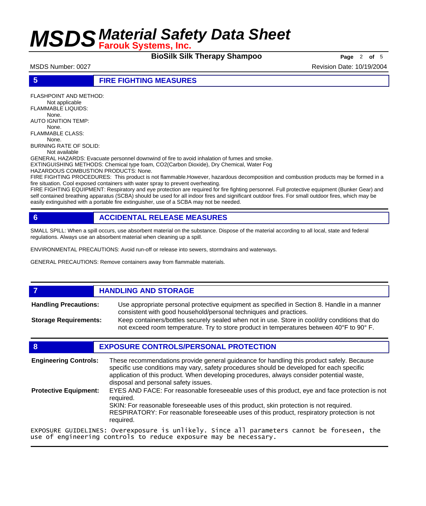**BioSilk Silk Therapy Shampoo** Page 2 of 5

### **5 FIRE FIGHTING MEASURES**

FLASHPOINT AND METHOD: Not applicable FLAMMABLE LIQUIDS: None. AUTO IGNITION TEMP: None. FLAMMABLE CLASS: None. BURNING RATE OF SOLID: Not available GENERAL HAZARDS: Evacuate personnel downwind of fire to avoid inhalation of fumes and smoke. EXTINGUISHING METHODS: Chemical type foam, CO2(Carbon Dioxide), Dry Chemical, Water Fog HAZARDOUS COMBUSTION PRODUCTS: None. FIRE FIGHTING PROCEDURES: This product is not flammable.However, hazardous decomposition and combustion products may be formed in a fire situation. Cool exposed containers with water spray to prevent overheating.

FIRE FIGHTING EQUIPMENT: Respiratory and eye protection are required for fire fighting personnel. Full protective equipment (Bunker Gear) and self contained breathing apparatus (SCBA) should be used for all indoor fires and significant outdoor fires. For small outdoor fires, which may be easily extinguished with a portable fire extinguisher, use of a SCBA may not be needed.

## **6 ACCIDENTAL RELEASE MEASURES**

SMALL SPILL: When a spill occurs, use absorbent material on the substance. Dispose of the material according to all local, state and federal regulations. Always use an absorbent material when cleaning up a spill.

ENVIRONMENTAL PRECAUTIONS: Avoid run-off or release into sewers, stormdrains and waterways.

GENERAL PRECAUTIONS: Remove containers away from flammable materials.

## *HANDLING AND STORAGE*

Use appropriate personal protective equipment as specified in Section 8. Handle in a manner consistent with good household/personal techniques and practices. **Handling Precautions:** Keep containers/bottles securely sealed when not in use. Store in cool/dry conditions that do **Storage Requirements:**

not exceed room temperature. Try to store product in temperatures between 40°F to 90° F.

## **8 EXPOSURE CONTROLS/PERSONAL PROTECTION**

| <b>Engineering Controls:</b> | These recommendations provide general guideance for handling this product safely. Because<br>specific use conditions may vary, safety procedures should be developed for each specific<br>application of this product. When developing procedures, always consider potential waste,<br>disposal and personal safety issues. |
|------------------------------|-----------------------------------------------------------------------------------------------------------------------------------------------------------------------------------------------------------------------------------------------------------------------------------------------------------------------------|
| <b>Protective Equipment:</b> | EYES AND FACE: For reasonable foreseeable uses of this product, eye and face protection is not<br>reauired.<br>SKIN: For reasonable foreseeable uses of this product, skin protection is not required.<br>RESPIRATORY: For reasonable foreseeable uses of this product, respiratory protection is not<br>required.          |
|                              | EXPOSURE GUIDELINES: Overexposure is unlikely. Since all parameters cannot be foreseen, the                                                                                                                                                                                                                                 |

EXPOSURE GUIDELINES: Overexposure is unlikely. Since all parameters cannot be foreseen, the use of engineering controls to reduce exposure may be necessary.

## MSDS Number: 0027 **Revision Date: 10/19/2004** Revision Date: 10/19/2004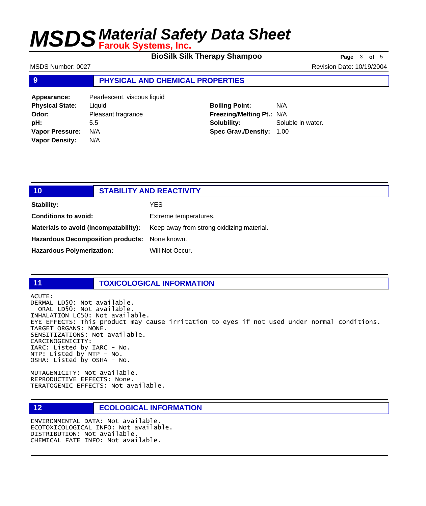**BioSilk Silk Therapy Shampoo** Page 3 of 5

MSDS Number: 0027 **Revision Date: 10/19/2004** 

## **9 PHYSICAL AND CHEMICAL PROPERTIES**

| Appearance:            | Pearlescent, viscous liquid |
|------------------------|-----------------------------|
| <b>Physical State:</b> | Liquid                      |
| Odor:                  | Pleasant fragrance          |
| pH:                    | 5.5                         |
| <b>Vapor Pressure:</b> | N/A                         |
| <b>Vapor Density:</b>  | N/A                         |

**Boiling Point:** N/A **Freezing/Melting Pt.:** N/A **Solubility:** Soluble in water. **Spec Grav./Density:** 1.00

| 10                                            | <b>STABILITY AND REACTIVITY</b> |                                           |
|-----------------------------------------------|---------------------------------|-------------------------------------------|
| <b>Stability:</b>                             |                                 | YES.                                      |
| <b>Conditions to avoid:</b>                   |                                 | Extreme temperatures.                     |
| Materials to avoid (incompatability):         |                                 | Keep away from strong oxidizing material. |
| Hazardous Decomposition products: None known. |                                 |                                           |
| <b>Hazardous Polymerization:</b>              |                                 | Will Not Occur.                           |

## **11 TOXICOLOGICAL INFORMATION**

ACUTE: DERMAL LD50: Not available. ORAL LD50: Not available. INHALATION LC50: Not available. EYE EFFECTS: This product may cause irritation to eyes if not used under normal conditions. TARGET ORGANS: NONE. SENSITIZATIONS: Not available. CARCINOGENICITY: IARC: Listed by IARC - No. NTP: Listed by NTP - No. OSHA: Listed by OSHA - No.

MUTAGENICITY: Not available. REPRODUCTIVE EFFECTS: None. TERATOGENIC EFFECTS: Not available.

## **12 ECOLOGICAL INFORMATION**

ENVIRONMENTAL DATA: Not available. ECOTOXICOLOGICAL INFO: Not available. DISTRIBUTION: Not available. CHEMICAL FATE INFO: Not available.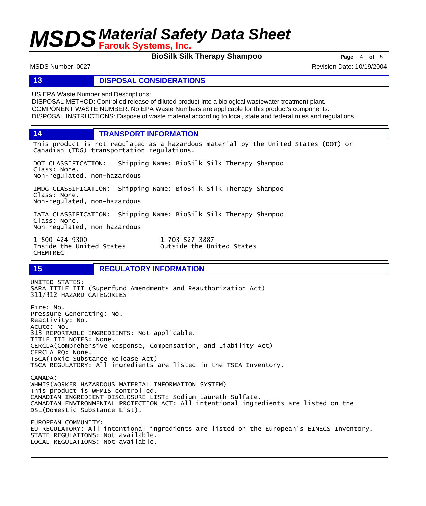**BioSilk Silk Therapy Shampoo** Page 4 of 5

MSDS Number: 0027 **Revision Date: 10/19/2004** Revision Date: 10/19/2004

## **13 DISPOSAL CONSIDERATIONS**

US EPA Waste Number and Descriptions:

DISPOSAL METHOD: Controlled release of diluted product into a biological wastewater treatment plant. COMPONENT WASTE NUMBER: No EPA Waste Numbers are applicable for this product's components. DISPOSAL INSTRUCTIONS: Dispose of waste material according to local, state and federal rules and regulations.

**14 TRANSPORT INFORMATION**

This product is not regulated as a hazardous material by the United States (DOT) or Canadian (TDG) transportation regulations.

DOT CLASSIFICATION: Shipping Name: BioSilk Silk Therapy Shampoo Class: None. Non-regulated, non-hazardous

IMDG CLASSIFICATION: Shipping Name: BioSilk Silk Therapy Shampoo Class: None. Non-regulated, non-hazardous

IATA CLASSIFICATION: Shipping Name: BioSilk Silk Therapy Shampoo Class: None. Non-regulated, non-hazardous

1-800-424-9300 1-703-527-3887 CHEMTREC

Outside the United States

## **15 REGULATORY INFORMATION**

UNITED STATES: SARA TITLE III (Superfund Amendments and Reauthorization Act) 311/312 HAZARD CATEGORIES Fire: No. Pressure Generating: No. Reactivity: No. Acute: No. 313 REPORTABLE INGREDIENTS: Not applicable. TITLE III NOTES: None. CERCLA(Comprehensive Response, Compensation, and Liability Act) CERCLA RQ: None. TSCA(Toxic Substance Release Act) TSCA REGULATORY: All ingredients are listed in the TSCA Inventory. CANADA: WHMIS(WORKER HAZARDOUS MATERIAL INFORMATION SYSTEM) This product is WHMIS controlled. CANADIAN INGREDIENT DISCLOSURE LIST: Sodium Laureth Sulfate. CANADIAN ENVIRONMENTAL PROTECTION ACT: All intentional ingredients are listed on the DSL(Domestic Substance List). EUROPEAN COMMUNITY: EU REGULATORY: All intentional ingredients are listed on the European's EINECS Inventory. STATE REGULATIONS: Not available.

LOCAL REGULATIONS: Not available.